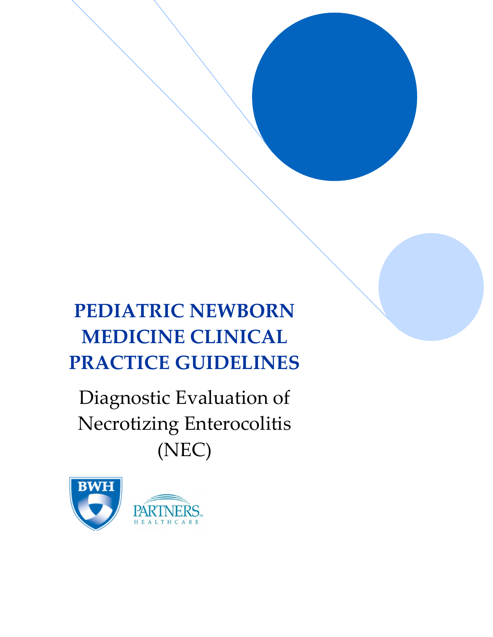# **PEDIATRIC NEWBORN MEDICINE CLINICAL PRACTICE GUIDELINES**

Diagnostic Evaluation of Necrotizing Enterocolitis (NEC)

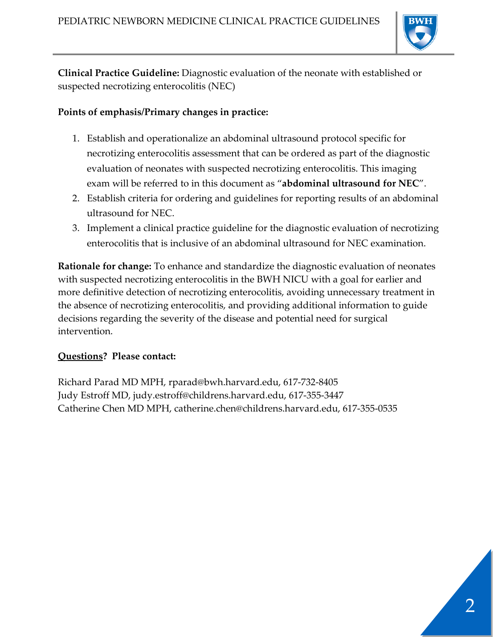

**Clinical Practice Guideline:** Diagnostic evaluation of the neonate with established or suspected necrotizing enterocolitis (NEC)

#### **Points of emphasis/Primary changes in practice:**

- 1. Establish and operationalize an abdominal ultrasound protocol specific for necrotizing enterocolitis assessment that can be ordered as part of the diagnostic evaluation of neonates with suspected necrotizing enterocolitis. This imaging exam will be referred to in this document as "**abdominal ultrasound for NEC**".
- 2. Establish criteria for ordering and guidelines for reporting results of an abdominal ultrasound for NEC.
- 3. Implement a clinical practice guideline for the diagnostic evaluation of necrotizing enterocolitis that is inclusive of an abdominal ultrasound for NEC examination.

**Rationale for change:** To enhance and standardize the diagnostic evaluation of neonates with suspected necrotizing enterocolitis in the BWH NICU with a goal for earlier and more definitive detection of necrotizing enterocolitis, avoiding unnecessary treatment in the absence of necrotizing enterocolitis, and providing additional information to guide decisions regarding the severity of the disease and potential need for surgical intervention.

#### **Questions? Please contact:**

Richard Parad MD MPH, rparad@bwh.harvard.edu, 617-732-8405 Judy Estroff MD, judy.estroff@childrens.harvard.edu, 617-355-3447 Catherine Chen MD MPH, catherine.chen@childrens.harvard.edu, 617-355-0535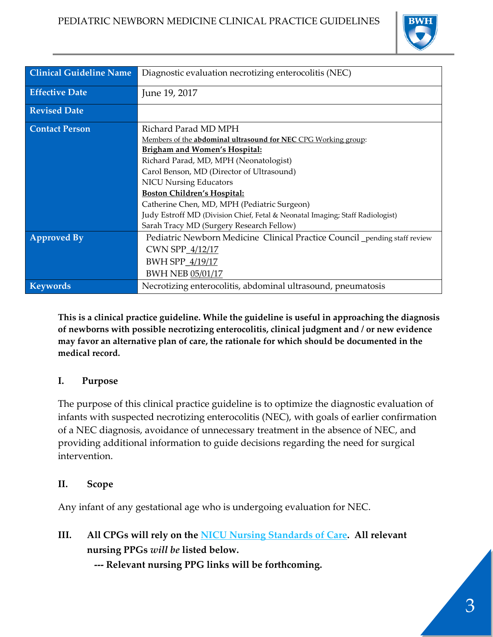

| <b>Clinical Guideline Name</b> | Diagnostic evaluation necrotizing enterocolitis (NEC)                         |  |  |  |  |  |  |  |
|--------------------------------|-------------------------------------------------------------------------------|--|--|--|--|--|--|--|
| <b>Effective Date</b>          | June 19, 2017                                                                 |  |  |  |  |  |  |  |
| <b>Revised Date</b>            |                                                                               |  |  |  |  |  |  |  |
| <b>Contact Person</b>          | Richard Parad MD MPH                                                          |  |  |  |  |  |  |  |
|                                | Members of the abdominal ultrasound for NEC CPG Working group:                |  |  |  |  |  |  |  |
|                                | <b>Brigham and Women's Hospital:</b>                                          |  |  |  |  |  |  |  |
|                                | Richard Parad, MD, MPH (Neonatologist)                                        |  |  |  |  |  |  |  |
|                                | Carol Benson, MD (Director of Ultrasound)                                     |  |  |  |  |  |  |  |
|                                | <b>NICU Nursing Educators</b>                                                 |  |  |  |  |  |  |  |
|                                | <b>Boston Children's Hospital:</b>                                            |  |  |  |  |  |  |  |
|                                | Catherine Chen, MD, MPH (Pediatric Surgeon)                                   |  |  |  |  |  |  |  |
|                                | Judy Estroff MD (Division Chief, Fetal & Neonatal Imaging; Staff Radiologist) |  |  |  |  |  |  |  |
|                                | Sarah Tracy MD (Surgery Research Fellow)                                      |  |  |  |  |  |  |  |
| <b>Approved By</b>             | Pediatric Newborn Medicine Clinical Practice Council pending staff review     |  |  |  |  |  |  |  |
|                                | CWN SPP_4/12/17                                                               |  |  |  |  |  |  |  |
|                                | BWH SPP_4/19/17                                                               |  |  |  |  |  |  |  |
|                                | <b>BWH NEB 05/01/17</b>                                                       |  |  |  |  |  |  |  |
| <b>Keywords</b>                | Necrotizing enterocolitis, abdominal ultrasound, pneumatosis                  |  |  |  |  |  |  |  |

**This is a clinical practice guideline. While the guideline is useful in approaching the diagnosis of newborns with possible necrotizing enterocolitis, clinical judgment and / or new evidence may favor an alternative plan of care, the rationale for which should be documented in the medical record.**

#### **I. Purpose**

The purpose of this clinical practice guideline is to optimize the diagnostic evaluation of infants with suspected necrotizing enterocolitis (NEC), with goals of earlier confirmation of a NEC diagnosis, avoidance of unnecessary treatment in the absence of NEC, and providing additional information to guide decisions regarding the need for surgical intervention.

#### **II. Scope**

Any infant of any gestational age who is undergoing evaluation for NEC.

**III. All CPGs will rely on the [NICU Nursing Standards of Care.](http://www.bwhpikenotes.org/policies/Nursing/CWN_Clinical_Practice_Manual/NICU/NICU_Standards.pdf) All relevant nursing PPGs** *will be* **listed below.** 

 **--- Relevant nursing PPG links will be forthcoming.**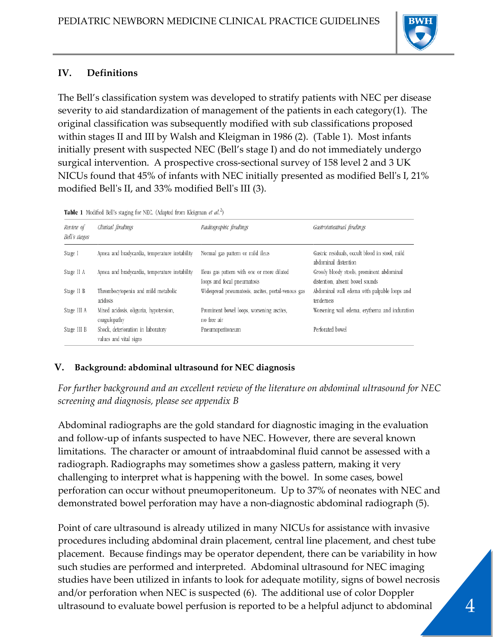

## **IV. Definitions**

The Bell's classification system was developed to stratify patients with NEC per disease severity to aid standardization of management of the patients in each category(1). The original classification was subsequently modified with sub classifications proposed within stages II and III by Walsh and Kleigman in 1986 (2). (Table 1). Most infants initially present with suspected NEC (Bell's stage I) and do not immediately undergo surgical intervention. A prospective cross-sectional survey of 158 level 2 and 3 UK NICUs found that 45% of infants with NEC initially presented as modified Bell's I, 21% modified Bell's II, and 33% modified Bell's III (3).

|  |  |  |  |  |  |  |  |  | Table 1 Modified Bell's staging for NEC. (Adapted from Kleigman et al. <sup>2</sup> ) |  |  |  |
|--|--|--|--|--|--|--|--|--|---------------------------------------------------------------------------------------|--|--|--|
|--|--|--|--|--|--|--|--|--|---------------------------------------------------------------------------------------|--|--|--|

| Review of<br>Bell's stages | Clinical findings                                            | Radiographic findings                                                     | Gastrointestinal findings                                                     |
|----------------------------|--------------------------------------------------------------|---------------------------------------------------------------------------|-------------------------------------------------------------------------------|
| Stage I                    | Apnea and bradycardia, temperature instability               | Normal gas pattern or mild ileus                                          | Gastric residuals, occult blood in stool, mild<br>abdominal distention        |
| Stage II A                 | Apnea and bradycardia, temperature instability               | Ileus gas pattern with one or more dilated<br>loops and focal pneumatosis | Grossly bloody stools, prominent abdominal<br>distention, absent bowel sounds |
| Stage II B                 | Thrombocytopenia and mild metabolic<br>acidosis              | Widespread pneumatosis, ascites, portal-venous gas                        | Abdominal wall edema with palpable loops and<br>tenderness                    |
| Stage III A                | Mixed acidosis, oliguria, hypotension,<br>coagulopathy       | Prominent bowel loops, worsening ascites,<br>no free air                  | Worsening wall edema, erythema and induration                                 |
| Stage III B                | Shock, deterioration in laboratory<br>values and vital signs | Pneumoperitoneum                                                          | Perforated bowel                                                              |

#### **V. Background: abdominal ultrasound for NEC diagnosis**

*For further background and an excellent review of the literature on abdominal ultrasound for NEC screening and diagnosis, please see appendix B*

Abdominal radiographs are the gold standard for diagnostic imaging in the evaluation and follow-up of infants suspected to have NEC. However, there are several known limitations. The character or amount of intraabdominal fluid cannot be assessed with a radiograph. Radiographs may sometimes show a gasless pattern, making it very challenging to interpret what is happening with the bowel. In some cases, bowel perforation can occur without pneumoperitoneum. Up to 37% of neonates with NEC and demonstrated bowel perforation may have a non-diagnostic abdominal radiograph (5).

Point of care ultrasound is already utilized in many NICUs for assistance with invasive procedures including abdominal drain placement, central line placement, and chest tube placement. Because findings may be operator dependent, there can be variability in how such studies are performed and interpreted. Abdominal ultrasound for NEC imaging studies have been utilized in infants to look for adequate motility, signs of bowel necrosis and/or perforation when NEC is suspected (6). The additional use of color Doppler ultrasound to evaluate bowel perfusion is reported to be a helpful adjunct to abdominal 4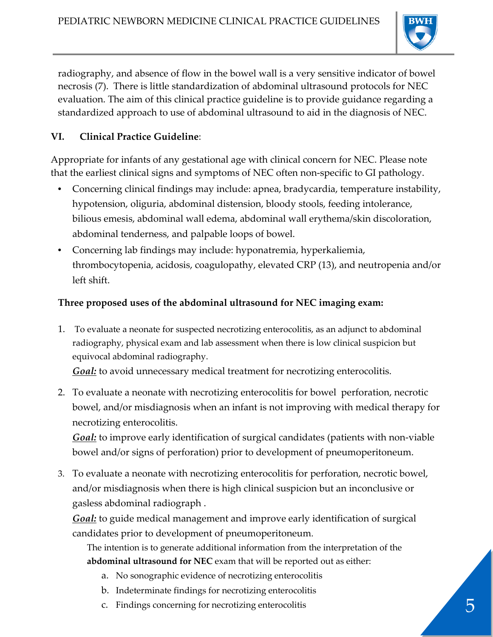

radiography, and absence of flow in the bowel wall is a very sensitive indicator of bowel necrosis (7). There is little standardization of abdominal ultrasound protocols for NEC evaluation. The aim of this clinical practice guideline is to provide guidance regarding a standardized approach to use of abdominal ultrasound to aid in the diagnosis of NEC.

## **VI. Clinical Practice Guideline**:

Appropriate for infants of any gestational age with clinical concern for NEC. Please note that the earliest clinical signs and symptoms of NEC often non-specific to GI pathology.

- Concerning clinical findings may include: apnea, bradycardia, temperature instability, hypotension, oliguria, abdominal distension, bloody stools, feeding intolerance, bilious emesis, abdominal wall edema, abdominal wall erythema/skin discoloration, abdominal tenderness, and palpable loops of bowel.
- Concerning lab findings may include: hyponatremia, hyperkaliemia, thrombocytopenia, acidosis, coagulopathy, elevated CRP (13), and neutropenia and/or left shift.

### **Three proposed uses of the abdominal ultrasound for NEC imaging exam:**

1. To evaluate a neonate for suspected necrotizing enterocolitis, as an adjunct to abdominal radiography, physical exam and lab assessment when there is low clinical suspicion but equivocal abdominal radiography.

*Goal:* to avoid unnecessary medical treatment for necrotizing enterocolitis.

2. To evaluate a neonate with necrotizing enterocolitis for bowel perforation, necrotic bowel, and/or misdiagnosis when an infant is not improving with medical therapy for necrotizing enterocolitis.

*Goal:* to improve early identification of surgical candidates (patients with non-viable bowel and/or signs of perforation) prior to development of pneumoperitoneum.

3. To evaluate a neonate with necrotizing enterocolitis for perforation, necrotic bowel, and/or misdiagnosis when there is high clinical suspicion but an inconclusive or gasless abdominal radiograph .

*Goal:* to guide medical management and improve early identification of surgical candidates prior to development of pneumoperitoneum.

The intention is to generate additional information from the interpretation of the **abdominal ultrasound for NEC** exam that will be reported out as either:

- a. No sonographic evidence of necrotizing enterocolitis
- b. Indeterminate findings for necrotizing enterocolitis
- c. Findings concerning for necrotizing enterocolitis 5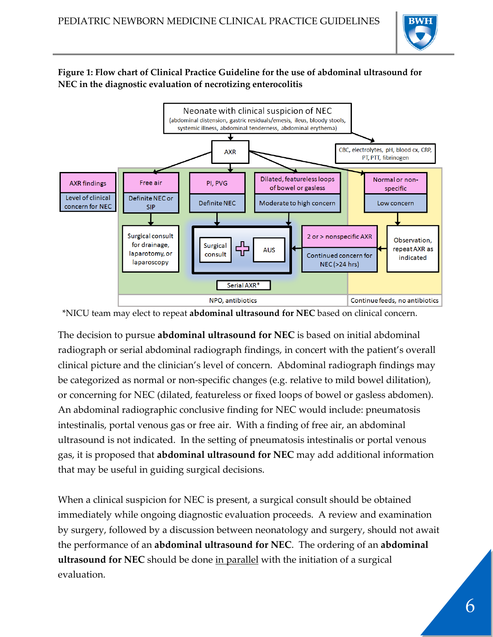

#### **Figure 1: Flow chart of Clinical Practice Guideline for the use of abdominal ultrasound for NEC in the diagnostic evaluation of necrotizing enterocolitis**



<sup>\*</sup>NICU team may elect to repeat **abdominal ultrasound for NEC** based on clinical concern.

The decision to pursue **abdominal ultrasound for NEC** is based on initial abdominal radiograph or serial abdominal radiograph findings, in concert with the patient's overall clinical picture and the clinician's level of concern. Abdominal radiograph findings may be categorized as normal or non-specific changes (e.g. relative to mild bowel dilitation), or concerning for NEC (dilated, featureless or fixed loops of bowel or gasless abdomen). An abdominal radiographic conclusive finding for NEC would include: pneumatosis intestinalis, portal venous gas or free air. With a finding of free air, an abdominal ultrasound is not indicated. In the setting of pneumatosis intestinalis or portal venous gas, it is proposed that **abdominal ultrasound for NEC** may add additional information that may be useful in guiding surgical decisions.

When a clinical suspicion for NEC is present, a surgical consult should be obtained immediately while ongoing diagnostic evaluation proceeds. A review and examination by surgery, followed by a discussion between neonatology and surgery, should not await the performance of an **abdominal ultrasound for NEC**. The ordering of an **abdominal ultrasound for NEC** should be done in parallel with the initiation of a surgical evaluation.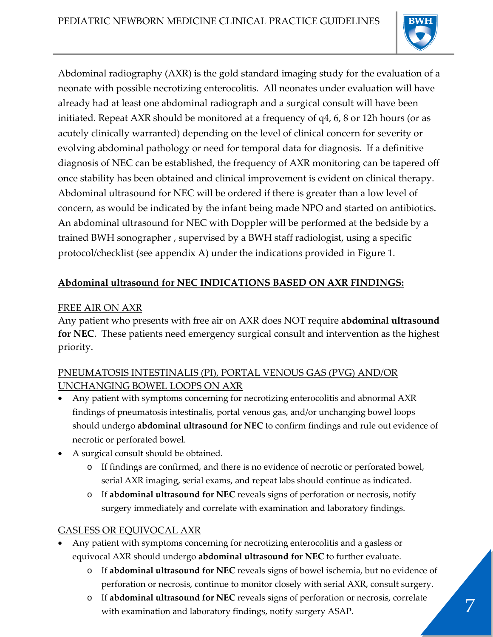

Abdominal radiography (AXR) is the gold standard imaging study for the evaluation of a neonate with possible necrotizing enterocolitis. All neonates under evaluation will have already had at least one abdominal radiograph and a surgical consult will have been initiated. Repeat AXR should be monitored at a frequency of q4, 6, 8 or 12h hours (or as acutely clinically warranted) depending on the level of clinical concern for severity or evolving abdominal pathology or need for temporal data for diagnosis. If a definitive diagnosis of NEC can be established, the frequency of AXR monitoring can be tapered off once stability has been obtained and clinical improvement is evident on clinical therapy. Abdominal ultrasound for NEC will be ordered if there is greater than a low level of concern, as would be indicated by the infant being made NPO and started on antibiotics. An abdominal ultrasound for NEC with Doppler will be performed at the bedside by a trained BWH sonographer , supervised by a BWH staff radiologist, using a specific protocol/checklist (see appendix A) under the indications provided in Figure 1.

## **Abdominal ultrasound for NEC INDICATIONS BASED ON AXR FINDINGS:**

### FREE AIR ON AXR

Any patient who presents with free air on AXR does NOT require **abdominal ultrasound for NEC**. These patients need emergency surgical consult and intervention as the highest priority.

## PNEUMATOSIS INTESTINALIS (PI), PORTAL VENOUS GAS (PVG) AND/OR UNCHANGING BOWEL LOOPS ON AXR

- Any patient with symptoms concerning for necrotizing enterocolitis and abnormal AXR findings of pneumatosis intestinalis, portal venous gas, and/or unchanging bowel loops should undergo **abdominal ultrasound for NEC** to confirm findings and rule out evidence of necrotic or perforated bowel.
- A surgical consult should be obtained.
	- o If findings are confirmed, and there is no evidence of necrotic or perforated bowel, serial AXR imaging, serial exams, and repeat labs should continue as indicated.
	- o If **abdominal ultrasound for NEC** reveals signs of perforation or necrosis, notify surgery immediately and correlate with examination and laboratory findings.

## GASLESS OR EQUIVOCAL AXR

- Any patient with symptoms concerning for necrotizing enterocolitis and a gasless or equivocal AXR should undergo **abdominal ultrasound for NEC** to further evaluate.
	- o If **abdominal ultrasound for NEC** reveals signs of bowel ischemia, but no evidence of perforation or necrosis, continue to monitor closely with serial AXR, consult surgery.
	- o If **abdominal ultrasound for NEC** reveals signs of perforation or necrosis, correlate with examination and laboratory findings, notify surgery ASAP.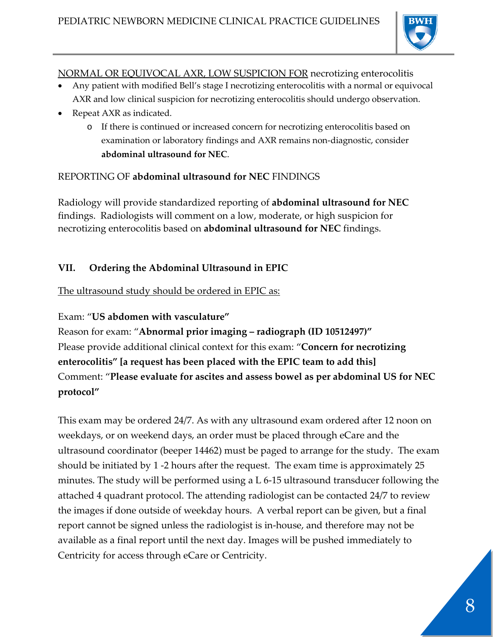

#### NORMAL OR EQUIVOCAL AXR, LOW SUSPICION FOR necrotizing enterocolitis

- Any patient with modified Bell's stage I necrotizing enterocolitis with a normal or equivocal AXR and low clinical suspicion for necrotizing enterocolitis should undergo observation.
- Repeat AXR as indicated.
	- o If there is continued or increased concern for necrotizing enterocolitis based on examination or laboratory findings and AXR remains non-diagnostic, consider **abdominal ultrasound for NEC**.

### REPORTING OF **abdominal ultrasound for NEC** FINDINGS

Radiology will provide standardized reporting of **abdominal ultrasound for NEC** findings. Radiologists will comment on a low, moderate, or high suspicion for necrotizing enterocolitis based on **abdominal ultrasound for NEC** findings.

## **VII. Ordering the Abdominal Ultrasound in EPIC**

The ultrasound study should be ordered in EPIC as:

#### Exam: "**US abdomen with vasculature"**

Reason for exam: "**Abnormal prior imaging – radiograph (ID 10512497)"** Please provide additional clinical context for this exam: "**Concern for necrotizing enterocolitis" [a request has been placed with the EPIC team to add this]** Comment: "**Please evaluate for ascites and assess bowel as per abdominal US for NEC protocol"**

This exam may be ordered 24/7. As with any ultrasound exam ordered after 12 noon on weekdays, or on weekend days, an order must be placed through eCare and the ultrasound coordinator (beeper 14462) must be paged to arrange for the study. The exam should be initiated by 1 -2 hours after the request. The exam time is approximately 25 minutes. The study will be performed using a L 6-15 ultrasound transducer following the attached 4 quadrant protocol. The attending radiologist can be contacted 24/7 to review the images if done outside of weekday hours. A verbal report can be given, but a final report cannot be signed unless the radiologist is in-house, and therefore may not be available as a final report until the next day. Images will be pushed immediately to Centricity for access through eCare or Centricity.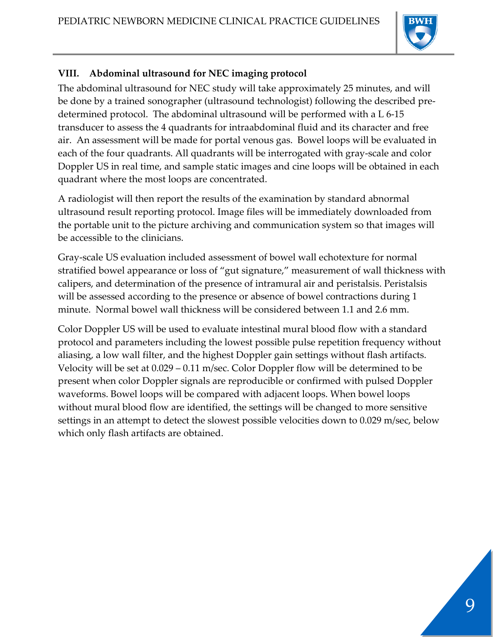

# **VIII. Abdominal ultrasound for NEC imaging protocol**

The abdominal ultrasound for NEC study will take approximately 25 minutes, and will be done by a trained sonographer (ultrasound technologist) following the described predetermined protocol. The abdominal ultrasound will be performed with a L 6-15 transducer to assess the 4 quadrants for intraabdominal fluid and its character and free air. An assessment will be made for portal venous gas. Bowel loops will be evaluated in each of the four quadrants. All quadrants will be interrogated with gray-scale and color Doppler US in real time, and sample static images and cine loops will be obtained in each quadrant where the most loops are concentrated.

A radiologist will then report the results of the examination by standard abnormal ultrasound result reporting protocol. Image files will be immediately downloaded from the portable unit to the picture archiving and communication system so that images will be accessible to the clinicians.

Gray-scale US evaluation included assessment of bowel wall echotexture for normal stratified bowel appearance or loss of "gut signature," measurement of wall thickness with calipers, and determination of the presence of intramural air and peristalsis. Peristalsis will be assessed according to the presence or absence of bowel contractions during 1 minute. Normal bowel wall thickness will be considered between 1.1 and 2.6 mm.

Color Doppler US will be used to evaluate intestinal mural blood flow with a standard protocol and parameters including the lowest possible pulse repetition frequency without aliasing, a low wall filter, and the highest Doppler gain settings without flash artifacts. Velocity will be set at 0.029 – 0.11 m/sec. Color Doppler flow will be determined to be present when color Doppler signals are reproducible or confirmed with pulsed Doppler waveforms. Bowel loops will be compared with adjacent loops. When bowel loops without mural blood flow are identified, the settings will be changed to more sensitive settings in an attempt to detect the slowest possible velocities down to 0.029 m/sec, below which only flash artifacts are obtained.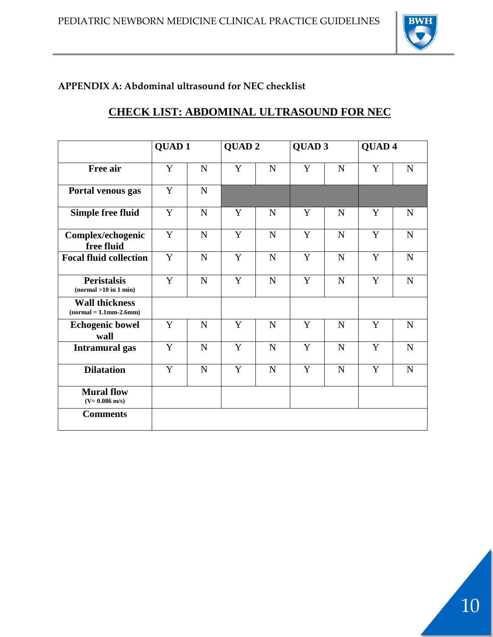

# **APPENDIX A: Abdominal ultrasound for NEC checklist**

# **CHECK LIST: ABDOMINAL ULTRASOUND FOR NEC**

|                                                   | <b>QUAD1</b> |             | QUAD <sub>2</sub> |             | QUAD <sub>3</sub> |             | QUAD <sub>4</sub> |             |
|---------------------------------------------------|--------------|-------------|-------------------|-------------|-------------------|-------------|-------------------|-------------|
| Free air                                          | Y            | ${\bf N}$   | Y                 | ${\bf N}$   | Y                 | ${\bf N}$   | Y                 | ${\bf N}$   |
| Portal venous gas                                 | Y            | $\mathbf N$ |                   |             |                   |             |                   |             |
| <b>Simple free fluid</b>                          | $\mathbf Y$  | ${\bf N}$   | Y                 | $\mathbf N$ | Y                 | $\mathbf N$ | Y                 | $\mathbf N$ |
| Complex/echogenic<br>free fluid                   | $\mathbf Y$  | ${\bf N}$   | Y                 | ${\bf N}$   | Y                 | ${\bf N}$   | Y                 | ${\bf N}$   |
| <b>Focal fluid collection</b>                     | $\mathbf Y$  | ${\bf N}$   | Y                 | ${\bf N}$   | Y                 | ${\bf N}$   | Y                 | $\mathbf N$ |
| <b>Peristalsis</b><br>(normal > 10 in 1 min)      | Y            | $\mathbf N$ | Y                 | $\mathbf N$ | Y                 | $\mathbf N$ | Y                 | $\mathbf N$ |
| <b>Wall thickness</b><br>$(normal = 1.1mm-2.6mm)$ |              |             |                   |             |                   |             |                   |             |
| <b>Echogenic bowel</b><br>wall                    | Y            | ${\bf N}$   | Y                 | ${\bf N}$   | Y                 | ${\bf N}$   | Y                 | ${\bf N}$   |
| <b>Intramural</b> gas                             | Y            | ${\bf N}$   | Y                 | $\mathbf N$ | Y                 | $\mathbf N$ | Y                 | ${\bf N}$   |
| <b>Dilatation</b>                                 | $\mathbf Y$  | ${\bf N}$   | Y                 | ${\bf N}$   | Y                 | $\mathbf N$ | Y                 | ${\bf N}$   |
| <b>Mural flow</b><br>$(V = 0.086$ m/s)            |              |             |                   |             |                   |             |                   |             |
| <b>Comments</b>                                   |              |             |                   |             |                   |             |                   |             |

10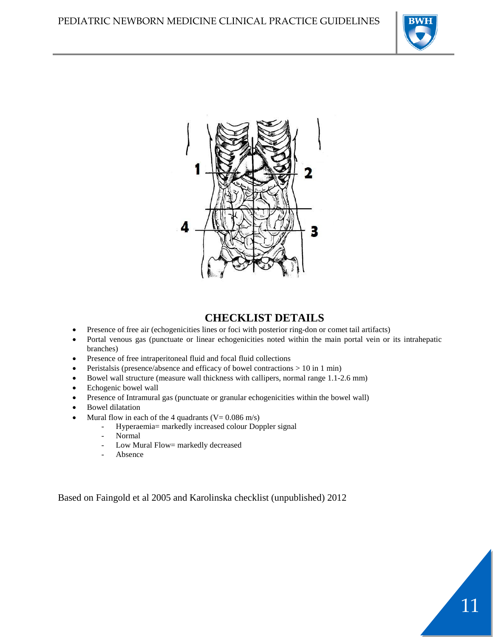

11



## **CHECKLIST DETAILS**

- Presence of free air (echogenicities lines or foci with posterior ring-don or comet tail artifacts)
- Portal venous gas (punctuate or linear echogenicities noted within the main portal vein or its intrahepatic branches)
- Presence of free intraperitoneal fluid and focal fluid collections
- Peristalsis (presence/absence and efficacy of bowel contractions  $> 10$  in 1 min)
- Bowel wall structure (measure wall thickness with callipers, normal range 1.1-2.6 mm)
- Echogenic bowel wall
- Presence of Intramural gas (punctuate or granular echogenicities within the bowel wall)
- Bowel dilatation
- Mural flow in each of the 4 quadrants  $(V= 0.086 \text{ m/s})$ 
	- Hyperaemia= markedly increased colour Doppler signal
	- Normal<br>-  $I_{\text{OW}}$  M<sub>1</sub>
	- Low Mural Flow= markedly decreased
	- **Absence**

Based on Faingold et al 2005 and Karolinska checklist (unpublished) 2012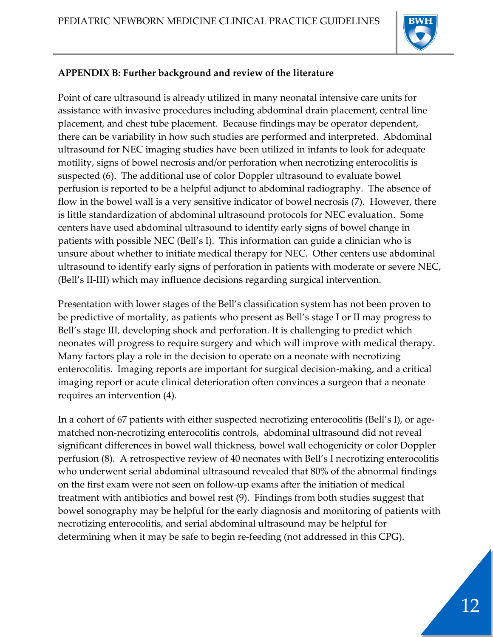

## **APPENDIX B: Further background and review of the literature**

Point of care ultrasound is already utilized in many neonatal intensive care units for assistance with invasive procedures including abdominal drain placement, central line placement, and chest tube placement. Because findings may be operator dependent, there can be variability in how such studies are performed and interpreted. Abdominal ultrasound for NEC imaging studies have been utilized in infants to look for adequate motility, signs of bowel necrosis and/or perforation when necrotizing enterocolitis is suspected (6). The additional use of color Doppler ultrasound to evaluate bowel perfusion is reported to be a helpful adjunct to abdominal radiography. The absence of flow in the bowel wall is a very sensitive indicator of bowel necrosis (7). However, there is little standardization of abdominal ultrasound protocols for NEC evaluation. Some centers have used abdominal ultrasound to identify early signs of bowel change in patients with possible NEC (Bell's I). This information can guide a clinician who is unsure about whether to initiate medical therapy for NEC. Other centers use abdominal ultrasound to identify early signs of perforation in patients with moderate or severe NEC, (Bell's II-III) which may influence decisions regarding surgical intervention.

Presentation with lower stages of the Bell's classification system has not been proven to be predictive of mortality, as patients who present as Bell's stage I or II may progress to Bell's stage III, developing shock and perforation. It is challenging to predict which neonates will progress to require surgery and which will improve with medical therapy. Many factors play a role in the decision to operate on a neonate with necrotizing enterocolitis. Imaging reports are important for surgical decision-making, and a critical imaging report or acute clinical deterioration often convinces a surgeon that a neonate requires an intervention (4).

In a cohort of 67 patients with either suspected necrotizing enterocolitis (Bell's I), or agematched non-necrotizing enterocolitis controls, abdominal ultrasound did not reveal significant differences in bowel wall thickness, bowel wall echogenicity or color Doppler perfusion (8). A retrospective review of 40 neonates with Bell's I necrotizing enterocolitis who underwent serial abdominal ultrasound revealed that 80% of the abnormal findings on the first exam were not seen on follow-up exams after the initiation of medical treatment with antibiotics and bowel rest (9). Findings from both studies suggest that bowel sonography may be helpful for the early diagnosis and monitoring of patients with necrotizing enterocolitis, and serial abdominal ultrasound may be helpful for determining when it may be safe to begin re-feeding (not addressed in this CPG).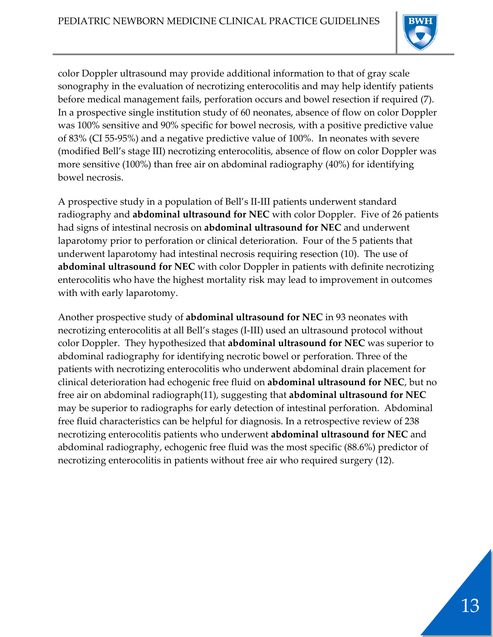

color Doppler ultrasound may provide additional information to that of gray scale sonography in the evaluation of necrotizing enterocolitis and may help identify patients before medical management fails, perforation occurs and bowel resection if required (7). In a prospective single institution study of 60 neonates, absence of flow on color Doppler was 100% sensitive and 90% specific for bowel necrosis, with a positive predictive value of 83% (CI 55-95%) and a negative predictive value of 100%. In neonates with severe (modified Bell's stage III) necrotizing enterocolitis, absence of flow on color Doppler was more sensitive (100%) than free air on abdominal radiography (40%) for identifying bowel necrosis.

A prospective study in a population of Bell's II-III patients underwent standard radiography and **abdominal ultrasound for NEC** with color Doppler. Five of 26 patients had signs of intestinal necrosis on **abdominal ultrasound for NEC** and underwent laparotomy prior to perforation or clinical deterioration. Four of the 5 patients that underwent laparotomy had intestinal necrosis requiring resection (10). The use of **abdominal ultrasound for NEC** with color Doppler in patients with definite necrotizing enterocolitis who have the highest mortality risk may lead to improvement in outcomes with with early laparotomy.

Another prospective study of **abdominal ultrasound for NEC** in 93 neonates with necrotizing enterocolitis at all Bell's stages (I-III) used an ultrasound protocol without color Doppler. They hypothesized that **abdominal ultrasound for NEC** was superior to abdominal radiography for identifying necrotic bowel or perforation. Three of the patients with necrotizing enterocolitis who underwent abdominal drain placement for clinical deterioration had echogenic free fluid on **abdominal ultrasound for NEC**, but no free air on abdominal radiograph(11), suggesting that **abdominal ultrasound for NEC** may be superior to radiographs for early detection of intestinal perforation. Abdominal free fluid characteristics can be helpful for diagnosis. In a retrospective review of 238 necrotizing enterocolitis patients who underwent **abdominal ultrasound for NEC** and abdominal radiography, echogenic free fluid was the most specific (88.6%) predictor of necrotizing enterocolitis in patients without free air who required surgery (12).